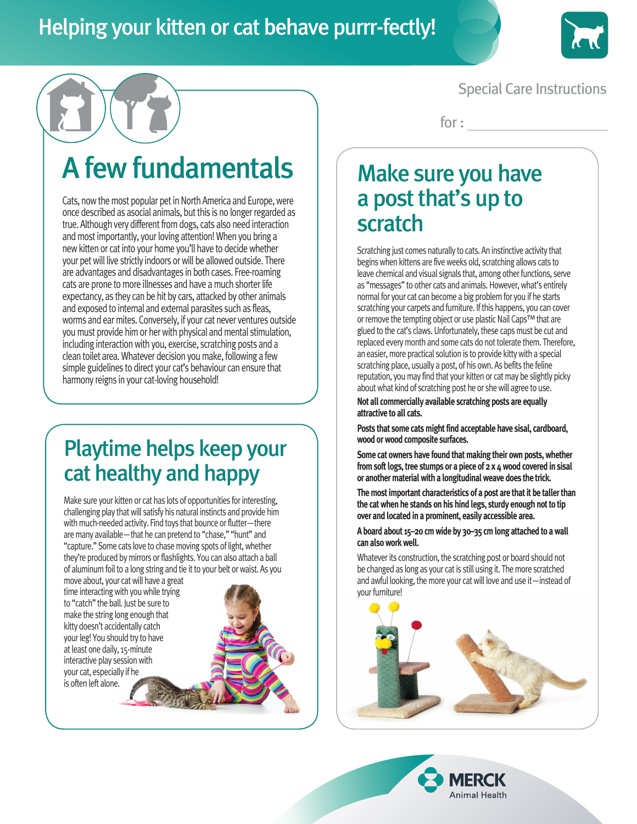

### Special Care Instructions

for :

# A few fundamentals

Cats, now the most popular pet in North America and Europe, were once described as asocial animals, but this is no longer regarded as true. Although very different from dogs, cats also need interaction and most importantly, your loving attention! When you bring a new kitten or cat into your home you'll have to decide whether your pet will live strictly indoors or will be allowed outside. There are advantages and disadvantages in both cases. Free-roaming cats are prone to more illnesses and have a much shorter life expectancy, as they can be hit by cars, attacked by other animals and exposed to internal and external parasites such as fleas, worms and ear mites. Conversely, if your cat never ventures outside you must provide him or her with physical and mental stimulation, including interaction with you, exercise, scratching posts and a clean toilet area. Whatever decision you make, following a few simple guidelines to direct your cat's behaviour can ensure that harmony reigns in your cat-loving household!

## Playtime helps keep your cat healthy and happy

Make sure your kitten or cat has lots of opportunities for interesting, challenging play that will satisfy his natural instincts and provide him with much-needed activity. Find toys that bounce or flutter—there are many available—that he can pretend to "chase," "hunt" and "capture." Some cats love to chase moving spots of light, whether they're produced by mirrors or flashlights. You can also attach a ball of aluminum foil to a long string and tie it to your belt or waist. As you

move about, your cat will have a great time interacting with you while trying to "catch" the ball. Just be sure to make the string long enough that kitty doesn't accidentally catch your leg! You should try to have at least one daily, 15-minute interactive play session with your cat, especially if he is often left alone.



## Make sure you have a post that's up to scratch

Scratching just comes naturally to cats. An instinctive activity that begins when kittens are five weeks old, scratching allows cats to leave chemical and visual signals that, among other functions, serve as "messages" to other cats and animals. However, what's entirely normal for your cat can become a big problem for you if he starts scratching your carpets and furniture. If this happens, you can cover or remove the tempting object or use plastic Nail Caps™ that are glued to the cat's claws. Unfortunately, these caps must be cut and replaced every month and some cats do not tolerate them. Therefore, an easier, more practical solution is to provide kitty with a special scratching place, usually a post, of his own. As befits the feline reputation, you may find that your kitten or cat may be slightly picky about what kind of scratching post he or she will agree to use.

**Not all commercially available scratching posts are equally attractive to all cats.** 

**Posts that some cats might find acceptable have sisal, cardboard, wood or wood composite surfaces.** 

**Some cat owners have found that making their own posts, whether from soft logs, tree stumps or a piece of 2 x 4 wood covered in sisal or another material with a longitudinal weave does the trick.** 

**The most important characteristics of a post are that it be taller than the cat when he stands on his hind legs, sturdy enough not to tip over and located in a prominent, easily accessible area.** 

**A board about 15–20 cm wide by 30–35 cm long attached to a wall can also work well.** 

Whatever its construction, the scratching post or board should not be changed as long as your cat is still using it. The more scratched and awful looking, the more your cat will love and use it—instead of vour furniture!



Animal Health